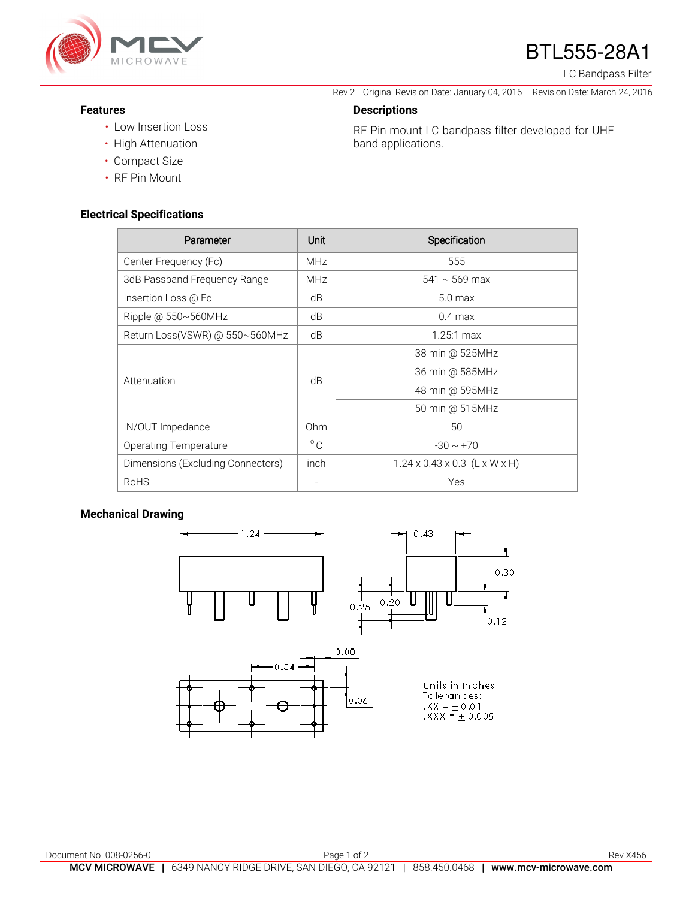

# BTL555-28A1

Rev 2– Original Revision Date: January 04, 2016 – Revision Date: March 24, 2016

RF Pin mount LC bandpass filter developed for UHF

LC Bandpass Filter

#### **Features**

- Low Insertion Loss
- High Attenuation
- Compact Size
- RF Pin Mount

#### **Electrical Specifications**

| Parameter                         | Unit         | Specification                             |
|-----------------------------------|--------------|-------------------------------------------|
| Center Frequency (Fc)             | <b>MHz</b>   | 555                                       |
| 3dB Passband Frequency Range      | <b>MHz</b>   | $541 \sim 569$ max                        |
| Insertion Loss @ Fc               | dB           | 5.0 <sub>max</sub>                        |
| Ripple @ $550 \sim 560$ MHz       | dB           | $0.4 \text{ max}$                         |
| Return Loss(VSWR) @ 550~560MHz    | dB           | $1.25:1 \text{ max}$                      |
| Attenuation                       | dB           | 38 min @ 525MHz                           |
|                                   |              | 36 min @ 585MHz                           |
|                                   |              | 48 min @ 595MHz                           |
|                                   |              | 50 min @ 515MHz                           |
| IN/OUT Impedance                  | Ohm          | 50                                        |
| Operating Temperature             | $^{\circ}$ C | $-30 \sim +70$                            |
| Dimensions (Excluding Connectors) | inch         | $1.24 \times 0.43 \times 0.3$ (L x W x H) |
| <b>RoHS</b>                       |              | Yes                                       |

**Descriptions** 

band applications.

### **Mechanical Drawing**